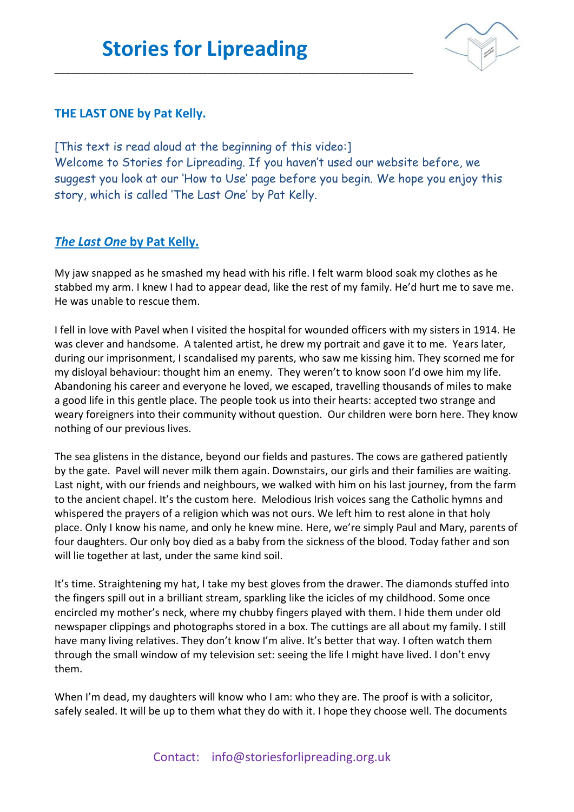\_\_\_\_\_\_\_\_\_\_\_\_\_\_\_\_\_\_\_\_\_\_\_\_\_\_\_\_\_\_\_\_\_\_\_\_\_\_\_\_\_\_\_\_\_\_\_\_\_\_\_\_\_\_\_\_\_\_\_\_\_\_\_\_\_\_\_\_



## **THE LAST ONE by Pat Kelly.**

[This text is read aloud at the beginning of this video:] Welcome to Stories for Lipreading. If you haven't used our website before, we suggest you look at our 'How to Use' page before you begin. We hope you enjoy this story, which is called 'The Last One' by Pat Kelly.

## *The Last One* **by Pat Kelly.**

My jaw snapped as he smashed my head with his rifle. I felt warm blood soak my clothes as he stabbed my arm. I knew I had to appear dead, like the rest of my family. He'd hurt me to save me. He was unable to rescue them.

I fell in love with Pavel when I visited the hospital for wounded officers with my sisters in 1914. He was clever and handsome. A talented artist, he drew my portrait and gave it to me. Years later, during our imprisonment, I scandalised my parents, who saw me kissing him. They scorned me for my disloyal behaviour: thought him an enemy. They weren't to know soon I'd owe him my life. Abandoning his career and everyone he loved, we escaped, travelling thousands of miles to make a good life in this gentle place. The people took us into their hearts: accepted two strange and weary foreigners into their community without question. Our children were born here. They know nothing of our previous lives.

The sea glistens in the distance, beyond our fields and pastures. The cows are gathered patiently by the gate. Pavel will never milk them again. Downstairs, our girls and their families are waiting. Last night, with our friends and neighbours, we walked with him on his last journey, from the farm to the ancient chapel. It's the custom here. Melodious Irish voices sang the Catholic hymns and whispered the prayers of a religion which was not ours. We left him to rest alone in that holy place. Only I know his name, and only he knew mine. Here, we're simply Paul and Mary, parents of four daughters. Our only boy died as a baby from the sickness of the blood. Today father and son will lie together at last, under the same kind soil.

It's time. Straightening my hat, I take my best gloves from the drawer. The diamonds stuffed into the fingers spill out in a brilliant stream, sparkling like the icicles of my childhood. Some once encircled my mother's neck, where my chubby fingers played with them. I hide them under old newspaper clippings and photographs stored in a box. The cuttings are all about my family. I still have many living relatives. They don't know I'm alive. It's better that way. I often watch them through the small window of my television set: seeing the life I might have lived. I don't envy them.

When I'm dead, my daughters will know who I am: who they are. The proof is with a solicitor, safely sealed. It will be up to them what they do with it. I hope they choose well. The documents